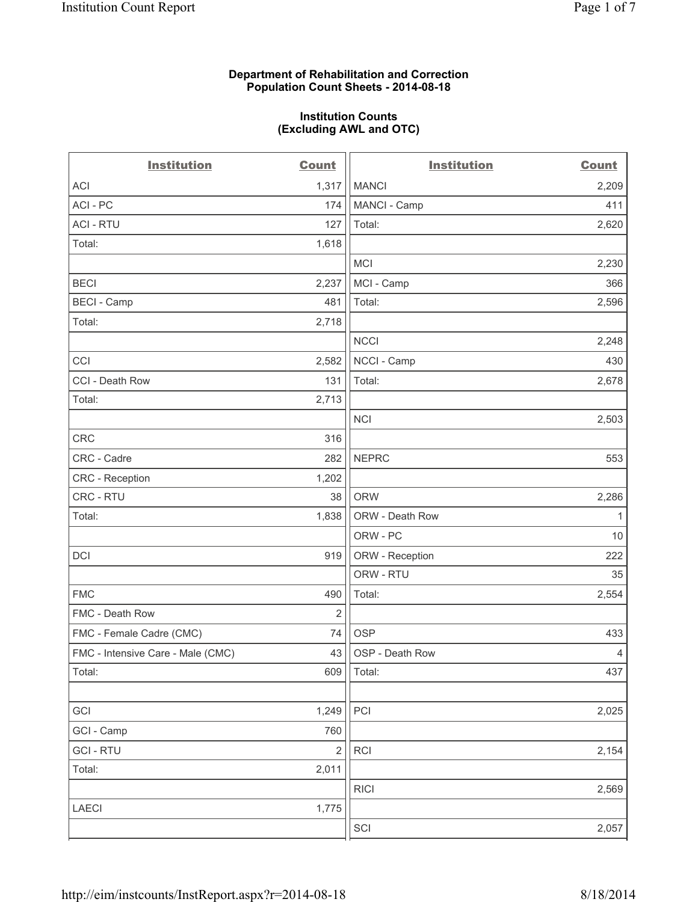#### **Department of Rehabilitation and Correction Population Count Sheets - 2014-08-18**

#### **Institution Counts (Excluding AWL and OTC)**

| <b>Institution</b>                | <b>Count</b>   | <b>Institution</b> | <b>Count</b>   |
|-----------------------------------|----------------|--------------------|----------------|
| <b>ACI</b>                        | 1,317          | <b>MANCI</b>       | 2,209          |
| ACI - PC                          | 174            | MANCI - Camp       | 411            |
| <b>ACI - RTU</b>                  | 127            | Total:             | 2,620          |
| Total:                            | 1,618          |                    |                |
|                                   |                | <b>MCI</b>         | 2,230          |
| <b>BECI</b>                       | 2,237          | MCI - Camp         | 366            |
| <b>BECI</b> - Camp                | 481            | Total:             | 2,596          |
| Total:                            | 2,718          |                    |                |
|                                   |                | <b>NCCI</b>        | 2,248          |
| CCI                               | 2,582          | NCCI - Camp        | 430            |
| CCI - Death Row                   | 131            | Total:             | 2,678          |
| Total:                            | 2,713          |                    |                |
|                                   |                | <b>NCI</b>         | 2,503          |
| CRC                               | 316            |                    |                |
| CRC - Cadre                       | 282            | <b>NEPRC</b>       | 553            |
| <b>CRC</b> - Reception            | 1,202          |                    |                |
| CRC - RTU                         | 38             | <b>ORW</b>         | 2,286          |
| Total:                            | 1,838          | ORW - Death Row    | $\mathbf{1}$   |
|                                   |                | ORW - PC           | 10             |
| <b>DCI</b>                        | 919            | ORW - Reception    | 222            |
|                                   |                | ORW - RTU          | 35             |
| <b>FMC</b>                        | 490            | Total:             | 2,554          |
| FMC - Death Row                   | 2              |                    |                |
| FMC - Female Cadre (CMC)          | 74             | <b>OSP</b>         | 433            |
| FMC - Intensive Care - Male (CMC) | 43             | OSP - Death Row    | $\overline{4}$ |
| Total:                            | 609            | Total:             | 437            |
|                                   |                |                    |                |
| GCI                               | 1,249          | PCI                | 2,025          |
| GCI - Camp                        | 760            |                    |                |
| <b>GCI-RTU</b>                    | $\overline{2}$ | RCI                | 2,154          |
| Total:                            | 2,011          |                    |                |
|                                   |                | <b>RICI</b>        | 2,569          |
| LAECI                             | 1,775          |                    |                |
|                                   |                | SCI                | 2,057          |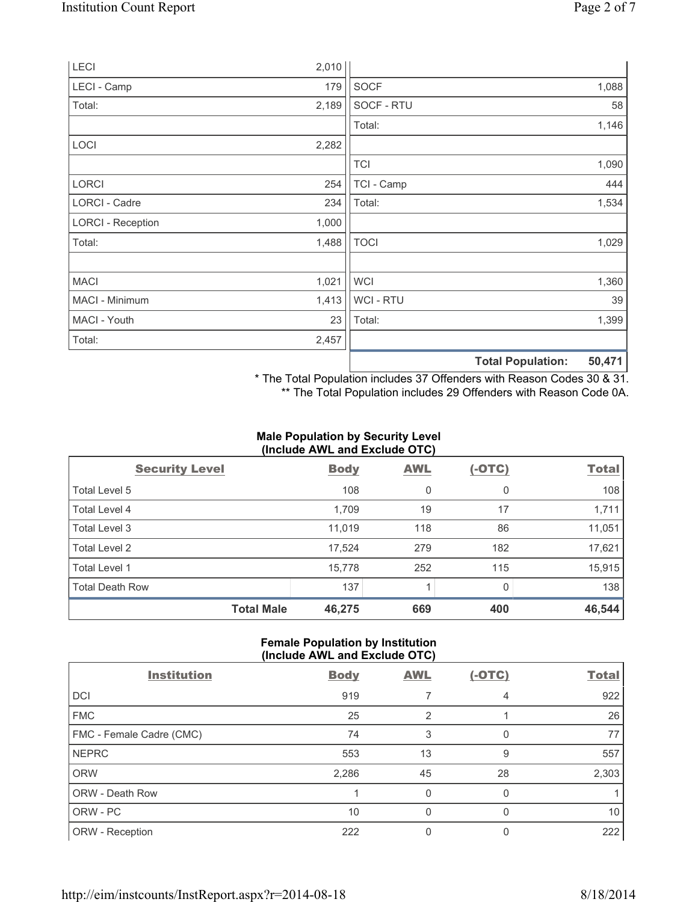| LECI                     | 2,010 |                |                          |        |
|--------------------------|-------|----------------|--------------------------|--------|
| LECI - Camp              | 179   | <b>SOCF</b>    |                          | 1,088  |
| Total:                   | 2,189 | SOCF - RTU     |                          | 58     |
|                          |       | Total:         |                          | 1,146  |
| LOCI                     | 2,282 |                |                          |        |
|                          |       | <b>TCI</b>     |                          | 1,090  |
| <b>LORCI</b>             | 254   | TCI - Camp     |                          | 444    |
| LORCI - Cadre            | 234   | Total:         |                          | 1,534  |
| <b>LORCI - Reception</b> | 1,000 |                |                          |        |
| Total:                   | 1,488 | <b>TOCI</b>    |                          | 1,029  |
|                          |       |                |                          |        |
| <b>MACI</b>              | 1,021 | <b>WCI</b>     |                          | 1,360  |
| MACI - Minimum           | 1,413 | <b>WCI-RTU</b> |                          | 39     |
| MACI - Youth             | 23    | Total:         |                          | 1,399  |
| Total:                   | 2,457 |                |                          |        |
|                          |       |                | <b>Total Population:</b> | 50,471 |

\* The Total Population includes 37 Offenders with Reason Codes 30 & 31. \*\* The Total Population includes 29 Offenders with Reason Code 0A.

# **Male Population by Security Level (Include AWL and Exclude OTC)**

| (iliciuus AvvL aliu Laciuus OTO) |             |            |          |              |  |  |
|----------------------------------|-------------|------------|----------|--------------|--|--|
| <b>Security Level</b>            | <b>Body</b> | <b>AWL</b> | $(-OTC)$ | <b>Total</b> |  |  |
| Total Level 5                    | 108         | 0          | 0        | 108          |  |  |
| Total Level 4                    | 1,709       | 19         | 17       | 1,711        |  |  |
| Total Level 3                    | 11,019      | 118        | 86       | 11,051       |  |  |
| Total Level 2                    | 17,524      | 279        | 182      | 17,621       |  |  |
| <b>Total Level 1</b>             | 15,778      | 252        | 115      | 15,915       |  |  |
| <b>Total Death Row</b>           | 137         |            | 0        | 138          |  |  |
| <b>Total Male</b>                | 46,275      | 669        | 400      | 46,544       |  |  |

# **Female Population by Institution (Include AWL and Exclude OTC)**

| <b>Institution</b>       | <b>Body</b> | <b>AWL</b> | $(-OTC)$ | <b>Total</b> |
|--------------------------|-------------|------------|----------|--------------|
| <b>DCI</b>               | 919         |            | 4        | 922          |
| <b>FMC</b>               | 25          | 2          |          | 26           |
| FMC - Female Cadre (CMC) | 74          | 3          | 0        | 77           |
| <b>NEPRC</b>             | 553         | 13         | 9        | 557          |
| <b>ORW</b>               | 2,286       | 45         | 28       | 2,303        |
| ORW - Death Row          |             | 0          | 0        |              |
| ORW - PC                 | 10          | $\Omega$   | 0        | 10           |
| ORW - Reception          | 222         | 0          | 0        | 222          |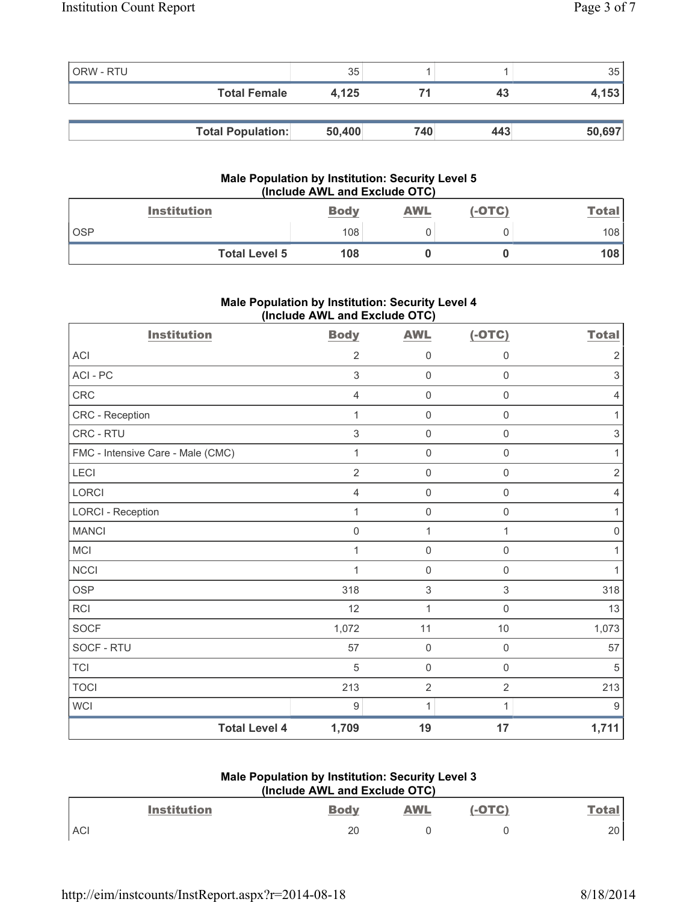| ORW - RTU |                          | 35     |     |     | 35     |
|-----------|--------------------------|--------|-----|-----|--------|
|           | <b>Total Female</b>      | 4.125  |     | 43  | 4,153  |
|           |                          |        |     |     |        |
|           | <b>Total Population:</b> | 50,400 | 740 | 443 | 50,697 |

#### **Male Population by Institution: Security Level 5 (Include AWL and Exclude OTC)**

| <b>Institution</b>   | <b>Body</b> | <b>AWL</b> | $(-OTC)$ | Total |
|----------------------|-------------|------------|----------|-------|
| <b>OSP</b>           | 108         |            |          | 108   |
| <b>Total Level 5</b> | 108         |            |          | 108   |

# **Male Population by Institution: Security Level 4 (Include AWL and Exclude OTC)**

| <b>Institution</b>                | <b>Body</b>    | <b>AWL</b>          | $(-OTC)$            | <b>Total</b>        |
|-----------------------------------|----------------|---------------------|---------------------|---------------------|
| <b>ACI</b>                        | $\overline{2}$ | $\mathsf{O}\xspace$ | $\mathbf 0$         | $\overline{2}$      |
| ACI - PC                          | 3              | $\mathsf{O}\xspace$ | $\mathsf 0$         | $\sqrt{3}$          |
| CRC                               | $\overline{4}$ | $\mathbf 0$         | $\mathsf{O}\xspace$ | $\overline{4}$      |
| CRC - Reception                   | 1              | $\mathsf{O}\xspace$ | 0                   | 1                   |
| CRC - RTU                         | $\mathsf 3$    | $\mathsf{O}\xspace$ | $\mathsf{O}\xspace$ | $\,$ 3 $\,$         |
| FMC - Intensive Care - Male (CMC) | 1              | $\mathsf{O}\xspace$ | $\mathsf 0$         | 1                   |
| LECI                              | $\overline{2}$ | $\mathbf 0$         | $\mathsf{O}\xspace$ | $\sqrt{2}$          |
| <b>LORCI</b>                      | $\overline{4}$ | $\mathsf{O}\xspace$ | $\mathsf 0$         | $\overline{4}$      |
| <b>LORCI - Reception</b>          | 1              | $\mathbf 0$         | $\mathsf{O}\xspace$ | $\mathbf{1}$        |
| <b>MANCI</b>                      | $\mathsf 0$    | 1                   | 1                   | $\mathsf{O}\xspace$ |
| MCI                               | 1              | $\mathbf 0$         | $\mathsf{O}\xspace$ | $\mathbf{1}$        |
| <b>NCCI</b>                       | 1              | $\mathbf 0$         | $\mathsf 0$         | 1                   |
| <b>OSP</b>                        | 318            | $\sqrt{3}$          | 3                   | 318                 |
| RCI                               | 12             | 1                   | 0                   | 13                  |
| <b>SOCF</b>                       | 1,072          | 11                  | 10                  | 1,073               |
| SOCF - RTU                        | 57             | $\mathbf 0$         | $\mathsf 0$         | 57                  |
| <b>TCI</b>                        | $\sqrt{5}$     | $\mathbf 0$         | $\mathsf{O}\xspace$ | $\sqrt{5}$          |
| <b>TOCI</b>                       | 213            | $\overline{2}$      | $\overline{2}$      | 213                 |
| WCI                               | 9              | 1                   | 1                   | 9                   |
| <b>Total Level 4</b>              | 1,709          | 19                  | 17                  | 1,711               |

# **Male Population by Institution: Security Level 3 (Include AWL and Exclude OTC)**

|            | <b>Institution</b> | <b>Body</b> | <b>AWL</b> | OTC) | <u>Total</u> |
|------------|--------------------|-------------|------------|------|--------------|
| <b>ACI</b> |                    | 20          |            |      | า∩<br>∠∪     |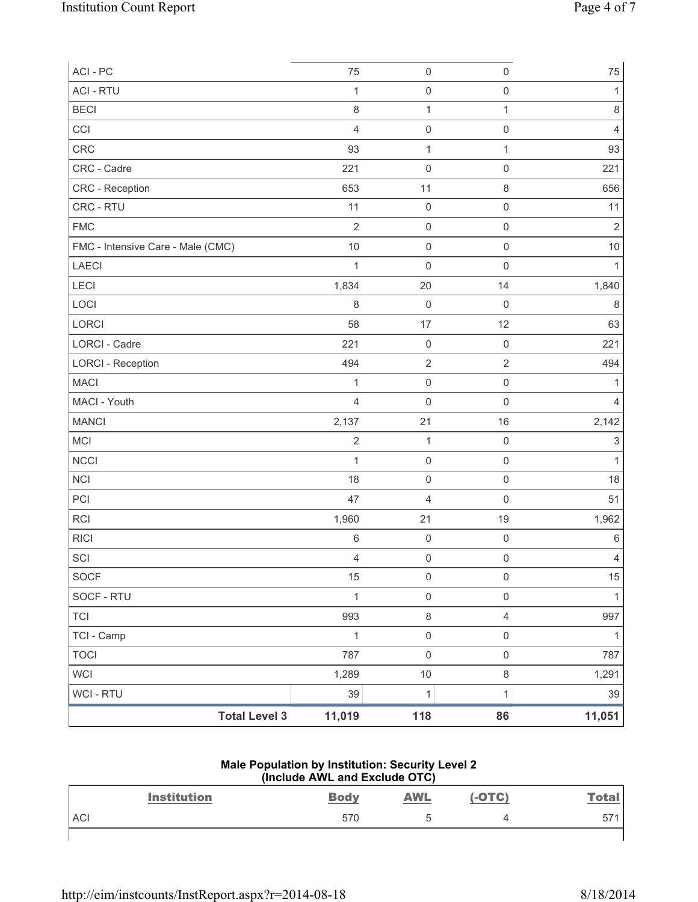| ACI - PC                          | 75             | $\mathsf 0$             | $\mathsf 0$         | $75\,$         |
|-----------------------------------|----------------|-------------------------|---------------------|----------------|
| <b>ACI - RTU</b>                  | $\mathbf{1}$   | $\mathsf 0$             | $\mathsf 0$         | 1              |
| <b>BECI</b>                       | 8              | $\mathbf{1}$            | $\mathbf{1}$        | 8              |
| CCI                               | $\overline{4}$ | $\mathsf{O}\xspace$     | $\mathsf{O}\xspace$ | $\overline{4}$ |
| CRC                               | 93             | $\mathbf{1}$            | $\mathbf{1}$        | 93             |
| CRC - Cadre                       | 221            | 0                       | $\mathsf 0$         | 221            |
| CRC - Reception                   | 653            | 11                      | $\,8\,$             | 656            |
| CRC - RTU                         | 11             | $\mathsf 0$             | $\mathsf 0$         | 11             |
| <b>FMC</b>                        | $\overline{2}$ | $\mathsf 0$             | $\mathsf 0$         | $\overline{2}$ |
| FMC - Intensive Care - Male (CMC) | 10             | $\mathsf{O}\xspace$     | $\mathsf{O}\xspace$ | $10$           |
| <b>LAECI</b>                      | $\mathbf{1}$   | $\mathsf{O}\xspace$     | $\mathsf 0$         | $\mathbf{1}$   |
| LECI                              | 1,834          | 20                      | 14                  | 1,840          |
| LOCI                              | 8              | 0                       | $\mathsf{O}\xspace$ | 8              |
| LORCI                             | 58             | 17                      | 12                  | 63             |
| LORCI - Cadre                     | 221            | $\mathsf{O}\xspace$     | $\mathsf 0$         | 221            |
| <b>LORCI - Reception</b>          | 494            | $\mathbf 2$             | $\sqrt{2}$          | 494            |
| <b>MACI</b>                       | $\mathbf{1}$   | $\mathsf 0$             | $\mathsf{O}\xspace$ | 1              |
| MACI - Youth                      | $\overline{4}$ | $\mathsf{O}\xspace$     | $\mathsf 0$         | $\overline{4}$ |
| <b>MANCI</b>                      | 2,137          | 21                      | 16                  | 2,142          |
| <b>MCI</b>                        | $\sqrt{2}$     | $\mathbf{1}$            | $\mathsf 0$         | 3              |
| <b>NCCI</b>                       | 1              | $\mathsf 0$             | $\mathsf 0$         | 1              |
| NCI                               | 18             | 0                       | $\mathsf 0$         | 18             |
| PCI                               | 47             | $\overline{\mathbf{4}}$ | $\mathsf 0$         | 51             |
| <b>RCI</b>                        | 1,960          | 21                      | 19                  | 1,962          |
| <b>RICI</b>                       | $\,6$          | $\mathsf 0$             | $\mathsf 0$         | $\,6\,$        |
| SCI                               | $\overline{4}$ | 0                       | $\mathsf 0$         | 4              |
| <b>SOCF</b>                       | 15             | 0                       | $\mathsf 0$         | 15             |
| SOCF - RTU                        | $\mathbf{1}$   | $\mathsf{O}\xspace$     | $\mathsf{O}\xspace$ | 1              |
| <b>TCI</b>                        | 993            | 8                       | $\overline{4}$      | 997            |
| TCI - Camp                        | $\mathbf{1}$   | $\mathsf{O}\xspace$     | $\mathsf 0$         | $\mathbf{1}$   |
| <b>TOCI</b>                       | 787            | $\mathsf 0$             | $\mathsf 0$         | 787            |
| <b>WCI</b>                        | 1,289          | $10$                    | $\,8\,$             | 1,291          |
| WCI - RTU                         | 39             | $\mathbf 1$             | $\mathbf{1}$        | 39             |
| <b>Total Level 3</b>              | 11,019         | 118                     | 86                  | 11,051         |

#### **Male Population by Institution: Security Level 2 (Include AWL and Exclude OTC)**

|            | <b>Institution</b> | <b>Body</b> | <b>AWL</b> | $(-OTC)$ | <b>Total</b> |
|------------|--------------------|-------------|------------|----------|--------------|
| <b>ACI</b> |                    | 570         | h<br>ں     |          | 57'          |
|            |                    |             |            |          |              |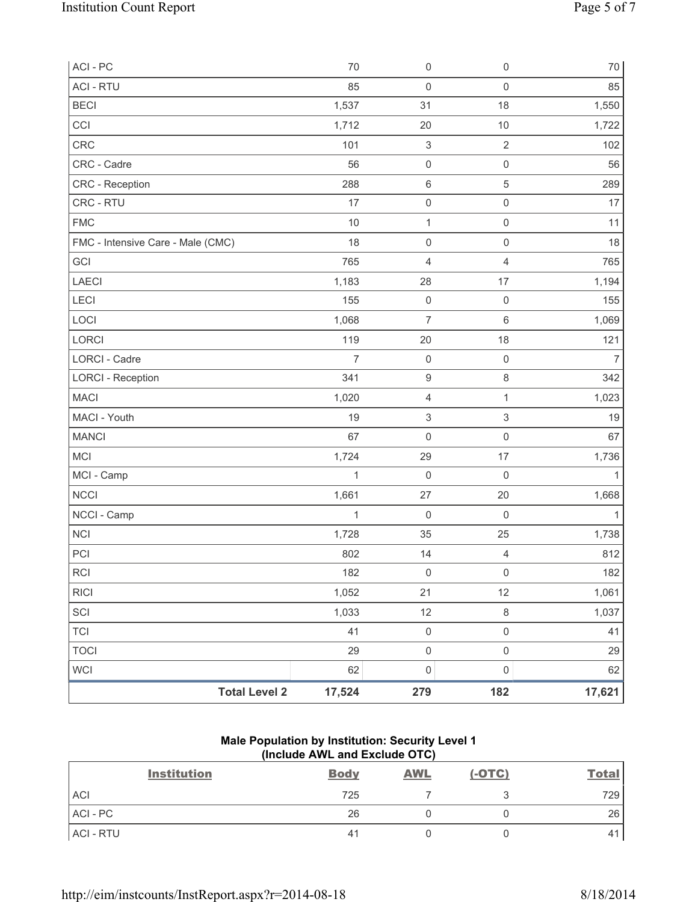| ACI - PC                          | 70             | $\mathsf 0$               | $\mathsf{O}\xspace$       | $70\,$         |
|-----------------------------------|----------------|---------------------------|---------------------------|----------------|
| <b>ACI - RTU</b>                  | 85             | $\mathbf 0$               | $\mathsf{O}\xspace$       | 85             |
| <b>BECI</b>                       | 1,537          | 31                        | 18                        | 1,550          |
| CCI                               | 1,712          | 20                        | 10                        | 1,722          |
| CRC                               | 101            | $\,$ 3 $\,$               | $\sqrt{2}$                | 102            |
| CRC - Cadre                       | 56             | $\mathbf 0$               | $\mathsf 0$               | 56             |
| CRC - Reception                   | 288            | $\,6\,$                   | $\sqrt{5}$                | 289            |
| CRC - RTU                         | 17             | $\pmb{0}$                 | $\mathsf{O}\xspace$       | 17             |
| <b>FMC</b>                        | 10             | $\mathbf{1}$              | $\mathsf{O}\xspace$       | 11             |
| FMC - Intensive Care - Male (CMC) | 18             | $\mathsf{O}\xspace$       | $\mathsf{O}\xspace$       | 18             |
| GCI                               | 765            | 4                         | $\overline{4}$            | 765            |
| LAECI                             | 1,183          | 28                        | 17                        | 1,194          |
| LECI                              | 155            | $\mathsf{O}\xspace$       | $\mathsf 0$               | 155            |
| LOCI                              | 1,068          | $\overline{7}$            | $\,6\,$                   | 1,069          |
| <b>LORCI</b>                      | 119            | 20                        | 18                        | 121            |
| <b>LORCI - Cadre</b>              | $\overline{7}$ | $\mathbf 0$               | $\mathsf 0$               | $\overline{7}$ |
| <b>LORCI - Reception</b>          | 341            | 9                         | $\,8\,$                   | 342            |
| <b>MACI</b>                       | 1,020          | $\overline{\mathbf{4}}$   | $\mathbf{1}$              | 1,023          |
| MACI - Youth                      | 19             | $\ensuremath{\mathsf{3}}$ | $\ensuremath{\mathsf{3}}$ | 19             |
| <b>MANCI</b>                      | 67             | $\mathsf{O}\xspace$       | $\mathsf{O}\xspace$       | 67             |
| MCI                               | 1,724          | 29                        | 17                        | 1,736          |
| MCI - Camp                        | $\mathbf{1}$   | $\mathbf 0$               | $\mathbf 0$               | 1              |
| NCCI                              | 1,661          | 27                        | 20                        | 1,668          |
| NCCI - Camp                       | $\mathbf 1$    | $\mathbf 0$               | $\mathsf{O}\xspace$       | $\mathbf{1}$   |
| <b>NCI</b>                        | 1,728          | 35                        | 25                        | 1,738          |
| PCI                               | 802            | 14                        | $\overline{4}$            | 812            |
| <b>RCI</b>                        | 182            | $\mathsf{O}\xspace$       | $\mathsf{O}\xspace$       | 182            |
| <b>RICI</b>                       | 1,052          | 21                        | 12                        | 1,061          |
| SCI                               | 1,033          | 12                        | $\,8\,$                   | 1,037          |
| <b>TCI</b>                        | 41             | $\mathbf 0$               | $\mathsf{O}\xspace$       | 41             |
| <b>TOCI</b>                       | 29             | $\mathsf{O}\xspace$       | $\mathsf{O}\xspace$       | 29             |
| <b>WCI</b>                        | 62             | 0                         | $\mathsf{O}\xspace$       | 62             |
| <b>Total Level 2</b>              | 17,524         | 279                       | 182                       | 17,621         |

# **Male Population by Institution: Security Level 1 (Include AWL and Exclude OTC)**

| <b>Institution</b> | <b>Body</b> | <b>AWL</b> | $(-OTC)$ | <b>Total</b> |
|--------------------|-------------|------------|----------|--------------|
| <b>ACI</b>         | 725         |            |          | 729          |
| $ACI - PC$         | 26          |            |          | 26           |
| ACI - RTU          | 41          |            |          | 4            |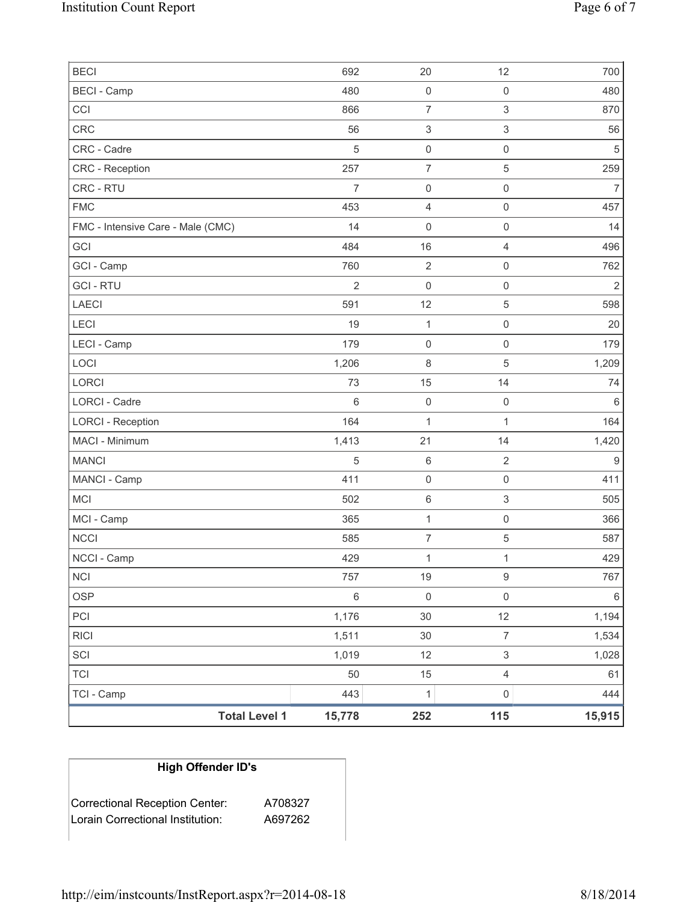| <b>BECI</b>                       | 692            | 20                        | 12                        | 700              |
|-----------------------------------|----------------|---------------------------|---------------------------|------------------|
| <b>BECI</b> - Camp                | 480            | $\mathsf{O}\xspace$       | $\mathsf{O}\xspace$       | 480              |
| CCI                               | 866            | $\overline{7}$            | $\ensuremath{\mathsf{3}}$ | 870              |
| CRC                               | 56             | $\ensuremath{\mathsf{3}}$ | $\mathsf 3$               | 56               |
| CRC - Cadre                       | $\sqrt{5}$     | $\mathsf 0$               | $\mathsf{O}\xspace$       | $\sqrt{5}$       |
| <b>CRC</b> - Reception            | 257            | $\boldsymbol{7}$          | 5                         | 259              |
| <b>CRC - RTU</b>                  | $\overline{7}$ | $\mathsf{O}\xspace$       | $\mathsf 0$               | $\overline{7}$   |
| <b>FMC</b>                        | 453            | $\overline{\mathbf{4}}$   | $\mathsf{O}\xspace$       | 457              |
| FMC - Intensive Care - Male (CMC) | 14             | $\mathsf 0$               | $\mathsf{O}\xspace$       | 14               |
| GCI                               | 484            | 16                        | 4                         | 496              |
| GCI - Camp                        | 760            | $\mathbf 2$               | $\mathsf{O}\xspace$       | 762              |
| <b>GCI-RTU</b>                    | $\overline{2}$ | $\mathsf 0$               | $\mathsf{O}\xspace$       | $\overline{2}$   |
| <b>LAECI</b>                      | 591            | 12                        | 5                         | 598              |
| LECI                              | 19             | $\mathbf{1}$              | $\mathsf 0$               | 20               |
| LECI - Camp                       | 179            | $\mathsf 0$               | $\mathsf{O}\xspace$       | 179              |
| LOCI                              | 1,206          | $\,8\,$                   | 5                         | 1,209            |
| LORCI                             | 73             | 15                        | 14                        | 74               |
| <b>LORCI - Cadre</b>              | $6\phantom{1}$ | $\mathsf 0$               | $\mathsf 0$               | $\,6\,$          |
| <b>LORCI - Reception</b>          | 164            | $\mathbf{1}$              | $\mathbf{1}$              | 164              |
| MACI - Minimum                    | 1,413          | 21                        | 14                        | 1,420            |
| <b>MANCI</b>                      | $\sqrt{5}$     | $\,6\,$                   | $\overline{2}$            | $\boldsymbol{9}$ |
| MANCI - Camp                      | 411            | $\mathsf{O}\xspace$       | $\mathsf{O}\xspace$       | 411              |
| <b>MCI</b>                        | 502            | $\,6\,$                   | $\ensuremath{\mathsf{3}}$ | 505              |
| MCI - Camp                        | 365            | $\mathbf{1}$              | $\mathsf{O}\xspace$       | 366              |
| <b>NCCI</b>                       | 585            | $\boldsymbol{7}$          | 5                         | 587              |
| NCCI - Camp                       | 429            | $\mathbf{1}$              | $\mathbf{1}$              | 429              |
| <b>NCI</b>                        | 757            | 19                        | $\mathsf g$               | 767              |
| <b>OSP</b>                        | $\,6\,$        | $\mathsf{O}\xspace$       | $\mathsf{O}\xspace$       | $\,6\,$          |
| PCI                               | 1,176          | $30\,$                    | 12                        | 1,194            |
| <b>RICI</b>                       | 1,511          | 30                        | $\overline{7}$            | 1,534            |
| SCI                               | 1,019          | 12                        | $\mathfrak{S}$            | 1,028            |
| <b>TCI</b>                        | 50             | 15                        | $\overline{4}$            | 61               |
| TCI - Camp                        | 443            | $\mathbf 1$               | $\mathsf{O}\xspace$       | 444              |
| <b>Total Level 1</b>              | 15,778         | 252                       | 115                       | 15,915           |

# **High Offender ID's**

| <b>Correctional Reception Center:</b> | A708327 |
|---------------------------------------|---------|
| Lorain Correctional Institution:      | A697262 |